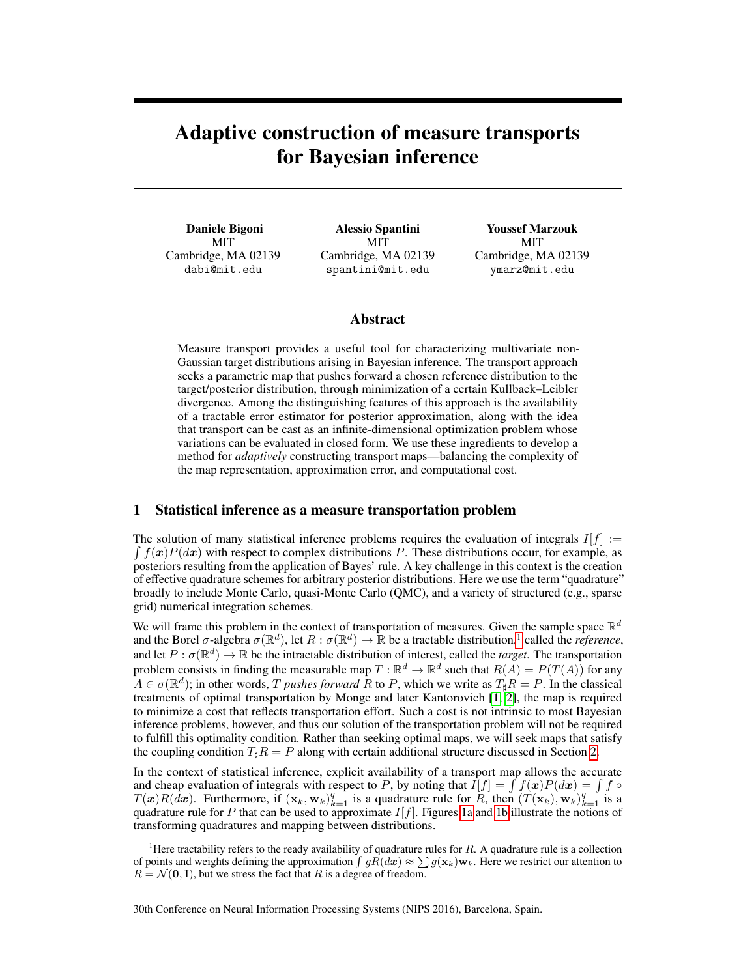# Adaptive construction of measure transports for Bayesian inference

Daniele Bigoni MIT Cambridge, MA 02139 dabi@mit.edu

Alessio Spantini MIT Cambridge, MA 02139 spantini@mit.edu

Youssef Marzouk **MIT** Cambridge, MA 02139 ymarz@mit.edu

## Abstract

Measure transport provides a useful tool for characterizing multivariate non-Gaussian target distributions arising in Bayesian inference. The transport approach seeks a parametric map that pushes forward a chosen reference distribution to the target/posterior distribution, through minimization of a certain Kullback–Leibler divergence. Among the distinguishing features of this approach is the availability of a tractable error estimator for posterior approximation, along with the idea that transport can be cast as an infinite-dimensional optimization problem whose variations can be evaluated in closed form. We use these ingredients to develop a method for *adaptively* constructing transport maps—balancing the complexity of the map representation, approximation error, and computational cost.

#### 1 Statistical inference as a measure transportation problem

The solution of many statistical inference problems requires the evaluation of integrals  $I[f] :=$  $\int f(x)P(dx)$  with respect to complex distributions P. These distributions occur, for example, as posteriors resulting from the application of Bayes' rule. A key challenge in this context is the creation of effective quadrature schemes for arbitrary posterior distributions. Here we use the term "quadrature" broadly to include Monte Carlo, quasi-Monte Carlo (QMC), and a variety of structured (e.g., sparse grid) numerical integration schemes.

We will frame this problem in the context of transportation of measures. Given the sample space  $\mathbb{R}^d$ and the Borel  $\sigma$ -algebra  $\sigma(\mathbb{R}^d)$ , let  $R : \sigma(\mathbb{R}^d) \to \mathbb{R}$  be a tractable distribution,<sup>[1](#page-0-0)</sup> called the *reference*, and let  $P : \sigma(\mathbb{R}^d) \to \mathbb{R}$  be the intractable distribution of interest, called the *target*. The transportation problem consists in finding the measurable map  $T : \mathbb{R}^d \to \mathbb{R}^d$  such that  $R(A) = P(T(A))$  for any  $A \in \sigma(\mathbb{R}^d)$ ; in other words, T *pushes forward* R to P, which we write as  $T_{\sharp}R = P$ . In the classical treatments of optimal transportation by Monge and later Kantorovich [\[1,](#page-4-0) [2\]](#page-5-0), the map is required to minimize a cost that reflects transportation effort. Such a cost is not intrinsic to most Bayesian inference problems, however, and thus our solution of the transportation problem will not be required to fulfill this optimality condition. Rather than seeking optimal maps, we will seek maps that satisfy the coupling condition  $T_{\sharp}R = P$  along with certain additional structure discussed in Section [2.](#page-1-0)

In the context of statistical inference, explicit availability of a transport map allows the accurate and cheap evaluation of integrals with respect to P, by noting that  $I[f] = \int f(x)P(dx) = \int f \circ$  $T(x)R(dx)$ . Furthermore, if  $(\mathbf{x}_k, \mathbf{w}_k)_{k=1}^q$  is a quadrature rule for  $R$ , then  $(T(\mathbf{x}_k), \mathbf{w}_k)_{k=1}^q$  is a quadrature rule for P that can be used to approximate  $I[f]$ . Figures [1a](#page-1-1) and [1b](#page-1-1) illustrate the notions of transforming quadratures and mapping between distributions.

#### 30th Conference on Neural Information Processing Systems (NIPS 2016), Barcelona, Spain.

<span id="page-0-0"></span><sup>&</sup>lt;sup>1</sup>Here tractability refers to the ready availability of quadrature rules for  $R$ . A quadrature rule is a collection of points and weights defining the approximation  $\int gR(dx) \approx \sum g(\mathbf{x}_k)\mathbf{w}_k$ . Here we restrict our attention to  $R = \mathcal{N}(\mathbf{0}, \mathbf{I})$ , but we stress the fact that R is a degree of freedom.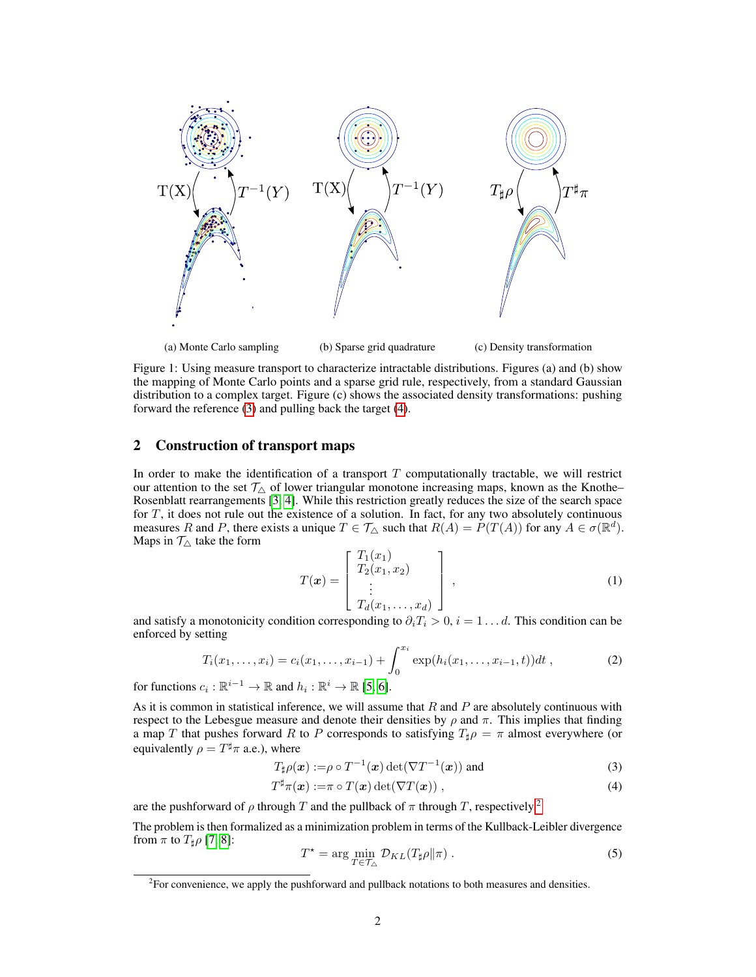<span id="page-1-1"></span>

(a) Monte Carlo sampling (b) Sparse grid quadrature (c) Density transformation

Figure 1: Using measure transport to characterize intractable distributions. Figures (a) and (b) show the mapping of Monte Carlo points and a sparse grid rule, respectively, from a standard Gaussian distribution to a complex target. Figure (c) shows the associated density transformations: pushing forward the reference [\(3\)](#page-1-2) and pulling back the target [\(4\)](#page-1-3).

#### <span id="page-1-0"></span>2 Construction of transport maps

In order to make the identification of a transport  $T$  computationally tractable, we will restrict our attention to the set  $\mathcal{T}_{\Delta}$  of lower triangular monotone increasing maps, known as the Knothe– Rosenblatt rearrangements [\[3,](#page-5-1) [4\]](#page-5-2). While this restriction greatly reduces the size of the search space for  $T$ , it does not rule out the existence of a solution. In fact, for any two absolutely continuous measures R and P, there exists a unique  $T \in \mathcal{T}_{\triangle}$  such that  $R(A) = \check{P}(T(A))$  for any  $A \in \sigma(\mathbb{R}^d)$ . Maps in  $\mathcal{T}_{\triangle}$  take the form

<span id="page-1-6"></span>
$$
T(\boldsymbol{x}) = \begin{bmatrix} T_1(x_1) \\ T_2(x_1, x_2) \\ \vdots \\ T_d(x_1, \dots, x_d) \end{bmatrix}, \qquad (1)
$$

and satisfy a monotonicity condition corresponding to  $\partial_i T_i > 0$ ,  $i = 1 \dots d$ . This condition can be enforced by setting

$$
T_i(x_1,\ldots,x_i) = c_i(x_1,\ldots,x_{i-1}) + \int_0^{x_i} \exp(h_i(x_1,\ldots,x_{i-1},t))dt,
$$
 (2)

for functions  $c_i : \mathbb{R}^{i-1} \to \mathbb{R}$  and  $h_i : \mathbb{R}^i \to \mathbb{R}$  [\[5,](#page-5-3) [6\]](#page-5-4).

As it is common in statistical inference, we will assume that  $R$  and  $P$  are absolutely continuous with respect to the Lebesgue measure and denote their densities by  $\rho$  and  $\pi$ . This implies that finding a map T that pushes forward R to P corresponds to satisfying  $T_{\sharp}\rho = \pi$  almost everywhere (or equivalently  $\rho = T^{\sharp} \pi$  a.e.), where

$$
T_{\sharp}\rho(\boldsymbol{x}) := \rho \circ T^{-1}(\boldsymbol{x}) \det(\nabla T^{-1}(\boldsymbol{x})) \text{ and } (3)
$$

<span id="page-1-5"></span>
$$
T^{\sharp}\pi(\boldsymbol{x}) := \pi \circ T(\boldsymbol{x}) \det(\nabla T(\boldsymbol{x})) \;, \tag{4}
$$

are the pushforward of  $\rho$  through T and the pullback of  $\pi$  through T, respectively.<sup>[2](#page-1-4)</sup>

The problem is then formalized as a minimization problem in terms of the Kullback-Leibler divergence from  $\pi$  to  $T_{\sharp}\rho$  [\[7,](#page-5-5) [8\]](#page-5-6):

<span id="page-1-3"></span><span id="page-1-2"></span>
$$
T^* = \arg\min_{T \in \mathcal{T}_{\Delta}} \mathcal{D}_{KL}(T_{\sharp}\rho||\pi) \,. \tag{5}
$$

<span id="page-1-4"></span> ${}^{2}$ For convenience, we apply the pushforward and pullback notations to both measures and densities.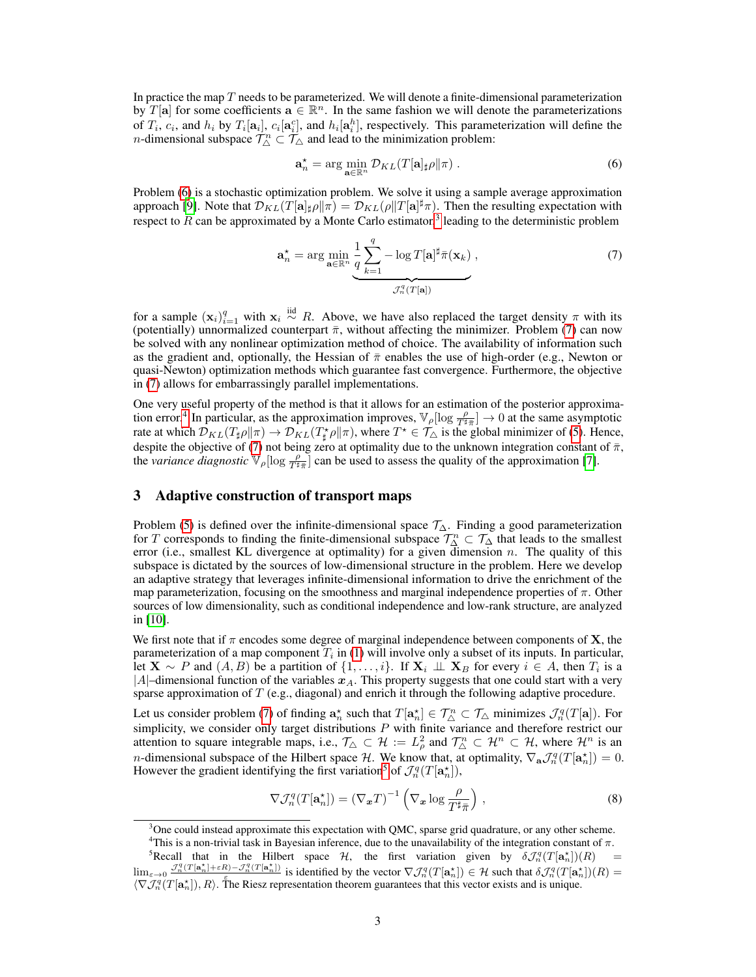In practice the map  $T$  needs to be parameterized. We will denote a finite-dimensional parameterization by  $T[\mathbf{a}]$  for some coefficients  $\mathbf{a} \in \mathbb{R}^n$ . In the same fashion we will denote the parameterizations of  $T_i$ ,  $c_i$ , and  $h_i$  by  $T_i[a_i]$ ,  $c_i[a_i^c]$ , and  $h_i[a_i^h]$ , respectively. This parameterization will define the *n*-dimensional subspace  $\mathcal{T}_{\triangle}^n \subset \mathcal{T}_{\triangle}$  and lead to the minimization problem:

<span id="page-2-2"></span><span id="page-2-0"></span>
$$
\mathbf{a}_n^* = \arg\min_{\mathbf{a}\in\mathbb{R}^n} \mathcal{D}_{KL}(T[\mathbf{a}]_\sharp \rho \| \pi) \,. \tag{6}
$$

Problem [\(6\)](#page-2-0) is a stochastic optimization problem. We solve it using a sample average approximation approach [\[9\]](#page-5-7). Note that  $\mathcal{D}_{KL}(T[\mathbf{a}]_{\sharp}\rho\|\pi) = \mathcal{D}_{KL}(\rho\|T[\mathbf{a}]^{\sharp}\pi)$ . Then the resulting expectation with respect to R can be approximated by a Monte Carlo estimator,<sup>[3](#page-2-1)</sup> leading to the deterministic problem

$$
\mathbf{a}_n^* = \arg\min_{\mathbf{a}\in\mathbb{R}^n} \underbrace{\frac{1}{q} \sum_{k=1}^q -\log T[\mathbf{a}]^{\sharp} \bar{\pi}(\mathbf{x}_k)}_{\mathcal{J}_n^q(T[\mathbf{a}])},\tag{7}
$$

for a sample  $(\mathbf{x}_i)_{i=1}^q$  with  $\mathbf{x}_i \stackrel{\text{iid}}{\sim} R$ . Above, we have also replaced the target density  $\pi$  with its (potentially) unnormalized counterpart  $\bar{\pi}$ , without affecting the minimizer. Problem [\(7\)](#page-2-2) can now be solved with any nonlinear optimization method of choice. The availability of information such as the gradient and, optionally, the Hessian of  $\bar{\pi}$  enables the use of high-order (e.g., Newton or quasi-Newton) optimization methods which guarantee fast convergence. Furthermore, the objective in [\(7\)](#page-2-2) allows for embarrassingly parallel implementations.

One very useful property of the method is that it allows for an estimation of the posterior approxima-tion error.<sup>[4](#page-2-3)</sup> In particular, as the approximation improves,  $\mathbb{V}_{\rho}[\log \frac{\rho}{T^{\sharp}\pi}] \to 0$  at the same asymptotic rate at which  $\mathcal{D}_{KL}(T_{\sharp}\rho\|\pi)\to \mathcal{D}_{KL}(T_{\sharp}^*\rho\|\pi)$ , where  $T^*\in\mathcal{T}_{\Delta}$  is the global minimizer of [\(5\)](#page-1-5). Hence, despite the objective of [\(7\)](#page-2-2) not being zero at optimality due to the unknown integration constant of  $\bar{\pi}$ , the *variance diagnostic*  $\mathbb{V}_\rho[\log \frac{\rho}{T^{\sharp}\bar{\pi}}]$  can be used to assess the quality of the approximation [\[7\]](#page-5-5).

#### 3 Adaptive construction of transport maps

Problem [\(5\)](#page-1-5) is defined over the infinite-dimensional space  $\mathcal{T}_\Delta$ . Finding a good parameterization for T corresponds to finding the finite-dimensional subspace  $\mathcal{T}_\Delta^n \subset \mathcal{T}_\Delta$  that leads to the smallest error (i.e., smallest KL divergence at optimality) for a given dimension  $n$ . The quality of this subspace is dictated by the sources of low-dimensional structure in the problem. Here we develop an adaptive strategy that leverages infinite-dimensional information to drive the enrichment of the map parameterization, focusing on the smoothness and marginal independence properties of  $\pi$ . Other sources of low dimensionality, such as conditional independence and low-rank structure, are analyzed in [\[10\]](#page-5-8).

We first note that if  $\pi$  encodes some degree of marginal independence between components of **X**, the parameterization of a map component  $T_i$  in [\(1\)](#page-1-6) will involve only a subset of its inputs. In particular, let  $X \sim P$  and  $(A, B)$  be a partition of  $\{1, \ldots, i\}$ . If  $X_i \perp \perp X_B$  for every  $i \in A$ , then  $T_i$  is a |A|-dimensional function of the variables  $x_A$ . This property suggests that one could start with a very sparse approximation of  $T$  (e.g., diagonal) and enrich it through the following adaptive procedure.

Let us consider problem [\(7\)](#page-2-2) of finding  $a_n^*$  such that  $T[a_n^*] \in \mathcal{T}_\triangle^n \subset \mathcal{T}_\triangle$  minimizes  $\mathcal{J}_n^q(T[a])$ . For simplicity, we consider only target distributions  $P$  with finite variance and therefore restrict our attention to square integrable maps, i.e.,  $\mathcal{T}_{\Delta} \subset \mathcal{H} := L^2_{\rho}$  and  $\mathcal{T}_{\Delta}^n \subset \mathcal{H}^n \subset \mathcal{H}$ , where  $\mathcal{H}^n$  is an *n*-dimensional subspace of the Hilbert space H. We know that, at optimality,  $\nabla_{\mathbf{a}} \mathcal{J}_n^q(T[\mathbf{a}_n^*]) = 0$ . However the gradient identifying the first variation<sup>[5](#page-2-4)</sup> of  $\mathcal{J}_n^q(T[\mathbf{a}_n^{\star}]),$ 

<span id="page-2-5"></span>
$$
\nabla \mathcal{J}_n^q(T[\mathbf{a}_n^\star]) = (\nabla_{\mathbf{x}} T)^{-1} \left( \nabla_{\mathbf{x}} \log \frac{\rho}{T^{\sharp} \bar{\pi}} \right) , \qquad (8)
$$

<span id="page-2-1"></span><sup>&</sup>lt;sup>3</sup>One could instead approximate this expectation with QMC, sparse grid quadrature, or any other scheme.

<span id="page-2-4"></span><span id="page-2-3"></span><sup>&</sup>lt;sup>4</sup>This is a non-trivial task in Bayesian inference, due to the unavailability of the integration constant of  $\pi$ .

<sup>&</sup>lt;sup>5</sup>Recall that in the Hilbert space H, the first variation given by  $\delta \mathcal{J}_n^q(T[\mathbf{a}_n^*])(R)$  =  $\lim_{\varepsilon \to 0} \frac{\mathcal{I}_n^q(T[\mathbf{a}_n^{\star}] + \varepsilon R) - \mathcal{I}_n^q(T[\mathbf{a}_n^{\star}])}{\mathcal{I}_n^q(T[\mathbf{a}_n^{\star}])}$  is identified by the vector  $\nabla \mathcal{J}_n^q(T[\mathbf{a}_n^{\star}]) \in \mathcal{H}$  such that  $\delta \mathcal{J}_n^q(T[\mathbf{a}_n^{\star}]) (R) =$  $\langle \nabla \mathcal{J}_n^q(T[\mathbf{a}_n^\star]), R \rangle$ . The Riesz representation theorem guarantees that this vector exists and is unique.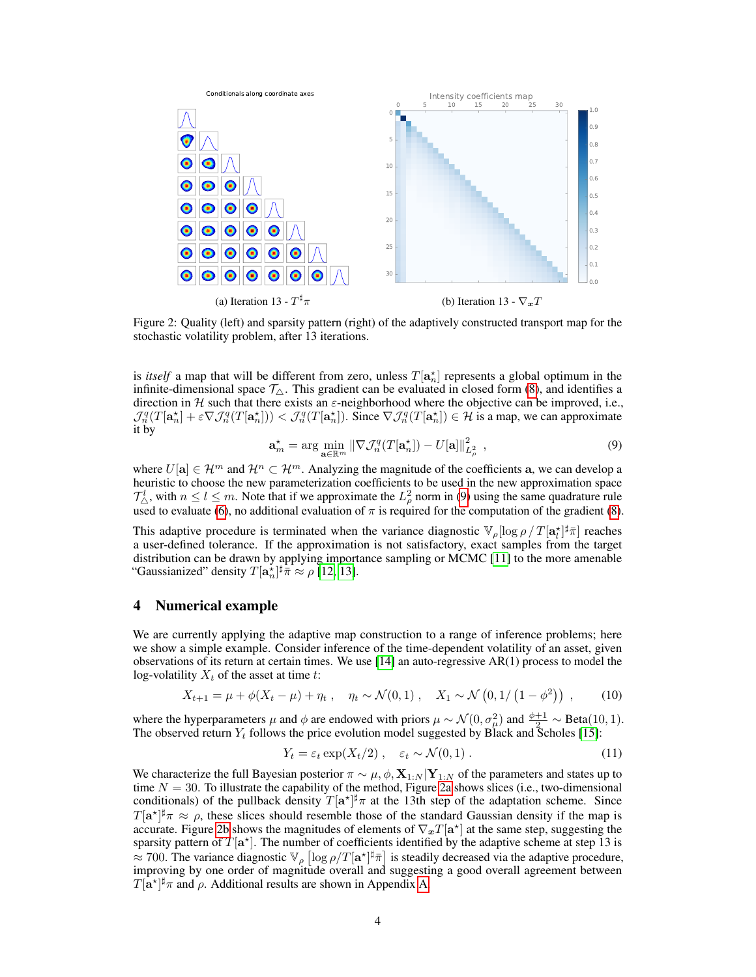<span id="page-3-1"></span>

Figure 2: Quality (left) and sparsity pattern (right) of the adaptively constructed transport map for the stochastic volatility problem, after 13 iterations.

is *itself* a map that will be different from zero, unless  $T[\mathbf{a}_n^{\star}]$  represents a global optimum in the infinite-dimensional space  $\mathcal{T}_{\Delta}$ . This gradient can be evaluated in closed form [\(8\)](#page-2-5), and identifies a direction in H such that there exists an  $\varepsilon$ -neighborhood where the objective can be improved, i.e.,  $\mathcal{J}_n^q(T[\mathbf{a}_n^{\star}] + \varepsilon \nabla \mathcal{J}_n^q(T[\mathbf{a}_n^{\star}]) \leq \mathcal{J}_n^q(T[\mathbf{a}_n^{\star}])$ . Since  $\nabla \mathcal{J}_n^q(T[\mathbf{a}_n^{\star}]) \in \mathcal{H}$  is a map, we can approximate it by

$$
\mathbf{a}_m^* = \arg\min_{\mathbf{a}\in\mathbb{R}^m} \|\nabla \mathcal{J}_n^q(T[\mathbf{a}_n^*]) - U[\mathbf{a}]\|_{L^2_{\rho}}^2 \tag{9}
$$

<span id="page-3-0"></span>where  $U[a] \in \mathcal{H}^m$  and  $\mathcal{H}^n \subset \mathcal{H}^m$ . Analyzing the magnitude of the coefficients a, we can develop a heuristic to choose the new parameterization coefficients to be used in the new approximation space  $\mathcal{T}_{\Delta}^l$ , with  $n \leq l \leq m$ . Note that if we approximate the  $L^2_\rho$  norm in [\(9\)](#page-3-0) using the same quadrature rule used to evaluate [\(6\)](#page-2-0), no additional evaluation of  $\pi$  is required for the computation of the gradient [\(8\)](#page-2-5).

This adaptive procedure is terminated when the variance diagnostic  $\mathbb{V}_{\rho}[\log \rho / T[\mathbf{a}_l^{\star}]^{\sharp_{\overline{n}}}]$  reaches a user-defined tolerance. If the approximation is not satisfactory, exact samples from the target distribution can be drawn by applying importance sampling or MCMC [\[11\]](#page-5-9) to the more amenable "Gaussianized" density  $T[\mathbf{a}_n^{\star}]^{\sharp} \overline{\pi} \approx \rho$  [\[12,](#page-5-10) [13\]](#page-5-11).

#### <span id="page-3-2"></span>4 Numerical example

We are currently applying the adaptive map construction to a range of inference problems; here we show a simple example. Consider inference of the time-dependent volatility of an asset, given observations of its return at certain times. We use [\[14\]](#page-5-12) an auto-regressive AR(1) process to model the log-volatility  $X_t$  of the asset at time t:

$$
X_{t+1} = \mu + \phi(X_t - \mu) + \eta_t, \quad \eta_t \sim \mathcal{N}(0, 1), \quad X_1 \sim \mathcal{N}\left(0, 1/\left(1 - \phi^2\right)\right), \tag{10}
$$

where the hyperparameters  $\mu$  and  $\phi$  are endowed with priors  $\mu \sim \mathcal{N}(0, \sigma_{\mu}^2)$  and  $\frac{\phi+1}{2} \sim \text{Beta}(10, 1)$ . The observed return  $Y_t$  follows the price evolution model suggested by Black and Scholes [\[15\]](#page-5-13):

$$
Y_t = \varepsilon_t \exp(X_t/2) \,, \quad \varepsilon_t \sim \mathcal{N}(0,1) \,. \tag{11}
$$

We characterize the full Bayesian posterior  $\pi \sim \mu, \phi, \mathbf{X}_{1:N} | \mathbf{Y}_{1:N}$  of the parameters and states up to time  $N = 30$ . To illustrate the capability of the method, Figure [2a](#page-3-1) shows slices (i.e., two-dimensional conditionals) of the pullback density  $T[\mathbf{a}^{\star}]^{\sharp}\pi$  at the 13th step of the adaptation scheme. Since  $T[\mathbf{a}^{\star}]^{\sharp}\pi \approx \rho$ , these slices should resemble those of the standard Gaussian density if the map is accurate. Figure [2b](#page-3-1) shows the magnitudes of elements of  $\nabla_{x}T[\mathbf{a}^{\star}]$  at the same step, suggesting the sparsity pattern of  $T[\mathbf{a}^{\star}]$ . The number of coefficients identified by the adaptive scheme at step 13 is  $\approx 700$ . The variance diagnostic  $\mathbb{V}_{\rho} [\log \rho/T[a^*]^{\sharp} \bar{\pi}]$  is steadily decreased via the adaptive procedure, improving by one order of magnitude overall and suggesting a good overall agreement between  $T[\mathbf{a}^{\star}]^{\sharp}\pi$  and  $\rho$ . Additional results are shown in Appendix [A.](#page-4-1)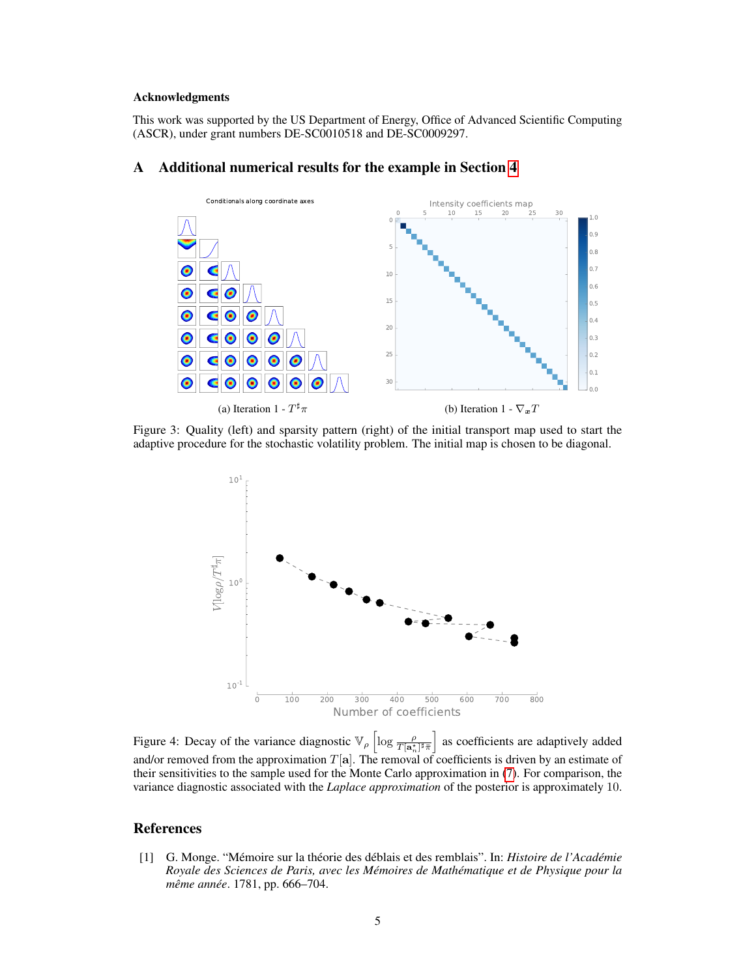#### Acknowledgments

This work was supported by the US Department of Energy, Office of Advanced Scientific Computing (ASCR), under grant numbers DE-SC0010518 and DE-SC0009297.

#### <span id="page-4-1"></span>A Additional numerical results for the example in Section [4](#page-3-2)



Figure 3: Quality (left) and sparsity pattern (right) of the initial transport map used to start the adaptive procedure for the stochastic volatility problem. The initial map is chosen to be diagonal.



Figure 4: Decay of the variance diagnostic  $\mathbb{V}_{\rho} \left[ \log \frac{\rho}{T[\mathbf{a}_n^*]^{\dagger} \bar{\pi}} \right]$  as coefficients are adaptively added and/or removed from the approximation  $T[\mathbf{a}]$ . The removal of coefficients is driven by an estimate of their sensitivities to the sample used for the Monte Carlo approximation in [\(7\)](#page-2-2). For comparison, the variance diagnostic associated with the *Laplace approximation* of the posterior is approximately 10.

## References

<span id="page-4-0"></span>[1] G. Monge. "Mémoire sur la théorie des déblais et des remblais". In: *Histoire de l'Académie Royale des Sciences de Paris, avec les Mémoires de Mathématique et de Physique pour la même année*. 1781, pp. 666–704.